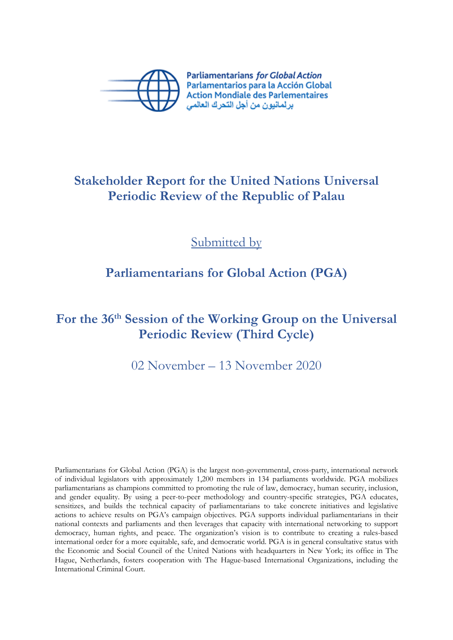

**Parliamentarians for Global Action** Parlamentarios para la Acción Global **Action Mondiale des Parlementaires** بر لمانيون من أجل التحرك العالمي

### **Stakeholder Report for the United Nations Universal Periodic Review of the Republic of Palau**

Submitted by

## **Parliamentarians for Global Action (PGA)**

# **For the 36th Session of the Working Group on the Universal Periodic Review (Third Cycle)**

02 November – 13 November 2020

Parliamentarians for Global Action (PGA) is the largest non-governmental, cross-party, international network of individual legislators with approximately 1,200 members in 134 parliaments worldwide. PGA mobilizes parliamentarians as champions committed to promoting the rule of law, democracy, human security, inclusion, and gender equality. By using <sup>a</sup> peer-to-peer methodology and country-specific strategies, PGA educates, sensitizes, and builds the technical capacity of parliamentarians to take concrete initiatives and legislative actions to achieve results on PGA'<sup>s</sup> campaign objectives. PGA supports individual parliamentarians in their national contexts and parliaments and then leverages that capacity with international networking to support democracy, human rights, and peace. The organization'<sup>s</sup> vision is to contribute to creating <sup>a</sup> rules-based international order for <sup>a</sup> more equitable, safe, and democratic world. PGA is in general consultative status with the Economic and Social Council of the United Nations with headquarters in New York; its office in The Hague, Netherlands, fosters cooperation with The Hague-based International Organizations, including the International Criminal Court.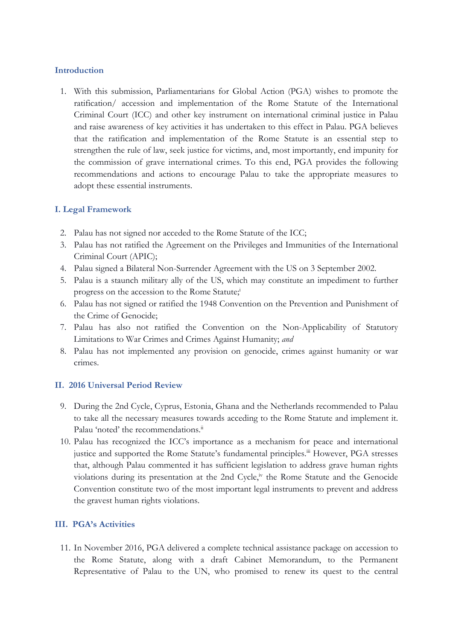#### **Introduction**

1. With this submission, Parliamentarians for Global Action (PGA) wishes to promote the ratification/ accession and implementation of the Rome Statute of the International Criminal Court (ICC) and other key instrument on international criminal justice in Palau and raise awareness of key activities it has undertaken to this effect in Palau. PGA believes that the ratification and implementation of the Rome Statute is an essential step to strengthen the rule of law, seek justice for victims, and, most importantly, end impunity for the commission of grave international crimes. To this end, PGA provides the following recommendations and actions to encourage Palau to take the appropriate measures to adopt these essential instruments.

#### **I. Legal Framework**

- 2. Palau has not signed nor acceded to the Rome Statute of the ICC;
- 3. Palau has not ratified the Agreement on the Privileges and Immunities of the International Criminal Court (APIC);
- 4. Palau signed <sup>a</sup> Bilateral Non-Surrender Agreement with the US on 3 September 2002.
- 5. Palau is <sup>a</sup> staunch military ally of the US, which may constitute an impediment to further progress on the accession to the Rome Statute; i
- 6. Palau has not signed or ratified the 1948 Convention on the Prevention and Punishment of the Crime of Genocide;
- 7. Palau has also not ratified the Convention on the Non-Applicability of Statutory Limitations to War Crimes and Crimes Against Humanity; *and*
- 8. Palau has not implemented any provision on genocide, crimes against humanity or war crimes.

#### **II. 2016 Universal Period Review**

- 9. During the 2nd Cycle, Cyprus, Estonia, Ghana and the Netherlands recommended to Palau to take all the necessary measures towards acceding to the Rome Statute and implement it. Palau 'noted' the recommendations.<sup>ii</sup>
- 10. Palau has recognized the ICC'<sup>s</sup> importance as <sup>a</sup> mechanism for peace and international justice and supported the Rome Statute's fundamental principles.<sup>iii</sup> However, PGA stresses that, although Palau commented it has sufficient legislation to address grave human rights violations during its presentation at the 2nd Cycle, $\dot{v}$  the Rome Statute and the Genocide Convention constitute two of the most important legal instruments to prevent and address the gravest human rights violations.

#### **III. PGA'<sup>s</sup> Activities**

11. In November 2016, PGA delivered <sup>a</sup> complete technical assistance package on accession to the Rome Statute, along with <sup>a</sup> draft Cabinet Memorandum, to the Permanent Representative of Palau to the UN, who promised to renew its ques<sup>t</sup> to the central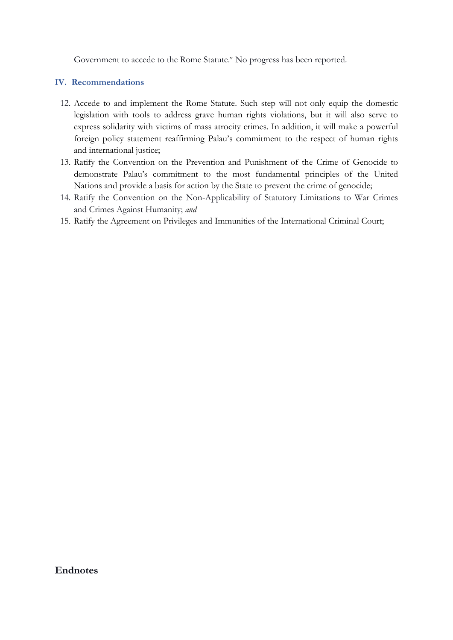Government to accede to the Rome Statute.<sup>v</sup> No progress has been reported.

### **IV. Recommendations**

- 12. Accede to and implement the Rome Statute. Such step will not only equip the domestic legislation with tools to address grave human rights violations, but it will also serve to express solidarity with victims of mass atrocity crimes. In addition, it will make <sup>a</sup> powerful foreign policy statement reaffirming Palau'<sup>s</sup> commitment to the respect of human rights and international justice;
- 13. Ratify the Convention on the Prevention and Punishment of the Crime of Genocide to demonstrate Palau'<sup>s</sup> commitment to the most fundamental principles of the United Nations and provide <sup>a</sup> basis for action by the State to prevent the crime of genocide;
- 14. Ratify the Convention on the Non-Applicability of Statutory Limitations to War Crimes and Crimes Against Humanity; *and*
- 15. Ratify the Agreement on Privileges and Immunities of the International Criminal Court;

### **Endnotes**